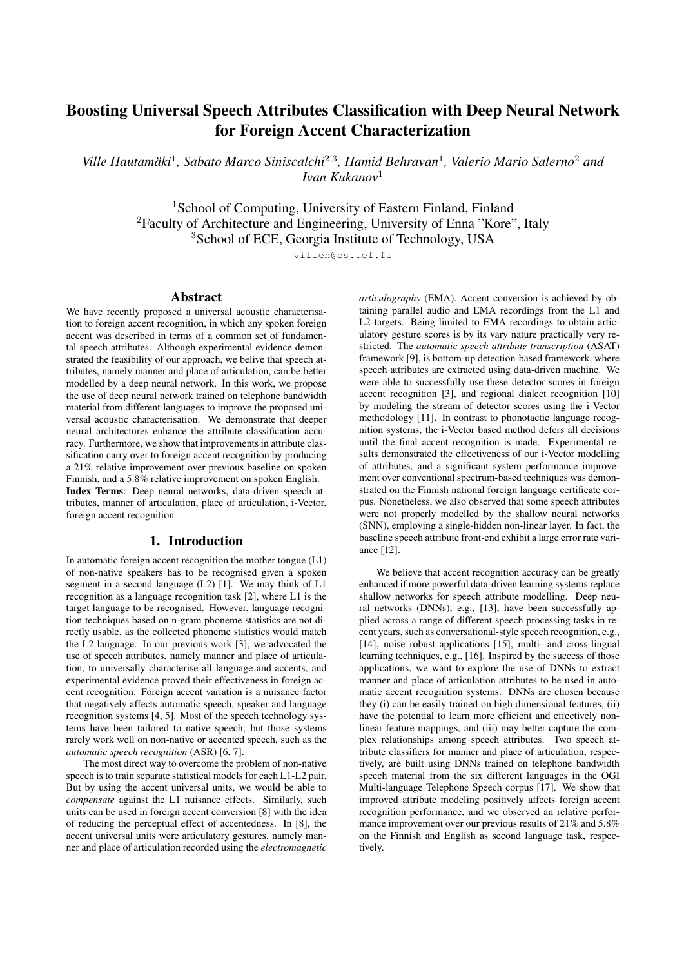# Boosting Universal Speech Attributes Classification with Deep Neural Network for Foreign Accent Characterization

*Ville Hautamaki ¨* 1 *, Sabato Marco Siniscalchi*<sup>2</sup>,<sup>3</sup> *, Hamid Behravan*<sup>1</sup> *, Valerio Mario Salerno*<sup>2</sup> *and Ivan Kukanov*<sup>1</sup>

<sup>1</sup>School of Computing, University of Eastern Finland, Finland <sup>2</sup>Faculty of Architecture and Engineering, University of Enna "Kore", Italy <sup>3</sup>School of ECE, Georgia Institute of Technology, USA

villeh@cs.uef.fi

## Abstract

We have recently proposed a universal acoustic characterisation to foreign accent recognition, in which any spoken foreign accent was described in terms of a common set of fundamental speech attributes. Although experimental evidence demonstrated the feasibility of our approach, we belive that speech attributes, namely manner and place of articulation, can be better modelled by a deep neural network. In this work, we propose the use of deep neural network trained on telephone bandwidth material from different languages to improve the proposed universal acoustic characterisation. We demonstrate that deeper neural architectures enhance the attribute classification accuracy. Furthermore, we show that improvements in attribute classification carry over to foreign accent recognition by producing a 21% relative improvement over previous baseline on spoken Finnish, and a 5.8% relative improvement on spoken English. Index Terms: Deep neural networks, data-driven speech at-

tributes, manner of articulation, place of articulation, i-Vector, foreign accent recognition

### 1. Introduction

In automatic foreign accent recognition the mother tongue (L1) of non-native speakers has to be recognised given a spoken segment in a second language (L2) [1]. We may think of L1 recognition as a language recognition task [2], where L1 is the target language to be recognised. However, language recognition techniques based on n-gram phoneme statistics are not directly usable, as the collected phoneme statistics would match the L2 language. In our previous work [3], we advocated the use of speech attributes, namely manner and place of articulation, to universally characterise all language and accents, and experimental evidence proved their effectiveness in foreign accent recognition. Foreign accent variation is a nuisance factor that negatively affects automatic speech, speaker and language recognition systems [4, 5]. Most of the speech technology systems have been tailored to native speech, but those systems rarely work well on non-native or accented speech, such as the *automatic speech recognition* (ASR) [6, 7].

The most direct way to overcome the problem of non-native speech is to train separate statistical models for each L1-L2 pair. But by using the accent universal units, we would be able to *compensate* against the L1 nuisance effects. Similarly, such units can be used in foreign accent conversion [8] with the idea of reducing the perceptual effect of accentedness. In [8], the accent universal units were articulatory gestures, namely manner and place of articulation recorded using the *electromagnetic* *articulography* (EMA). Accent conversion is achieved by obtaining parallel audio and EMA recordings from the L1 and L2 targets. Being limited to EMA recordings to obtain articulatory gesture scores is by its vary nature practically very restricted. The *automatic speech attribute transcription* (ASAT) framework [9], is bottom-up detection-based framework, where speech attributes are extracted using data-driven machine. We were able to successfully use these detector scores in foreign accent recognition [3], and regional dialect recognition [10] by modeling the stream of detector scores using the i-Vector methodology [11]. In contrast to phonotactic language recognition systems, the i-Vector based method defers all decisions until the final accent recognition is made. Experimental results demonstrated the effectiveness of our i-Vector modelling of attributes, and a significant system performance improvement over conventional spectrum-based techniques was demonstrated on the Finnish national foreign language certificate corpus. Nonetheless, we also observed that some speech attributes were not properly modelled by the shallow neural networks (SNN), employing a single-hidden non-linear layer. In fact, the baseline speech attribute front-end exhibit a large error rate variance [12].

We believe that accent recognition accuracy can be greatly enhanced if more powerful data-driven learning systems replace shallow networks for speech attribute modelling. Deep neural networks (DNNs), e.g., [13], have been successfully applied across a range of different speech processing tasks in recent years, such as conversational-style speech recognition, e.g., [14], noise robust applications [15], multi- and cross-lingual learning techniques, e.g., [16]. Inspired by the success of those applications, we want to explore the use of DNNs to extract manner and place of articulation attributes to be used in automatic accent recognition systems. DNNs are chosen because they (i) can be easily trained on high dimensional features, (ii) have the potential to learn more efficient and effectively nonlinear feature mappings, and (iii) may better capture the complex relationships among speech attributes. Two speech attribute classifiers for manner and place of articulation, respectively, are built using DNNs trained on telephone bandwidth speech material from the six different languages in the OGI Multi-language Telephone Speech corpus [17]. We show that improved attribute modeling positively affects foreign accent recognition performance, and we observed an relative performance improvement over our previous results of 21% and 5.8% on the Finnish and English as second language task, respectively.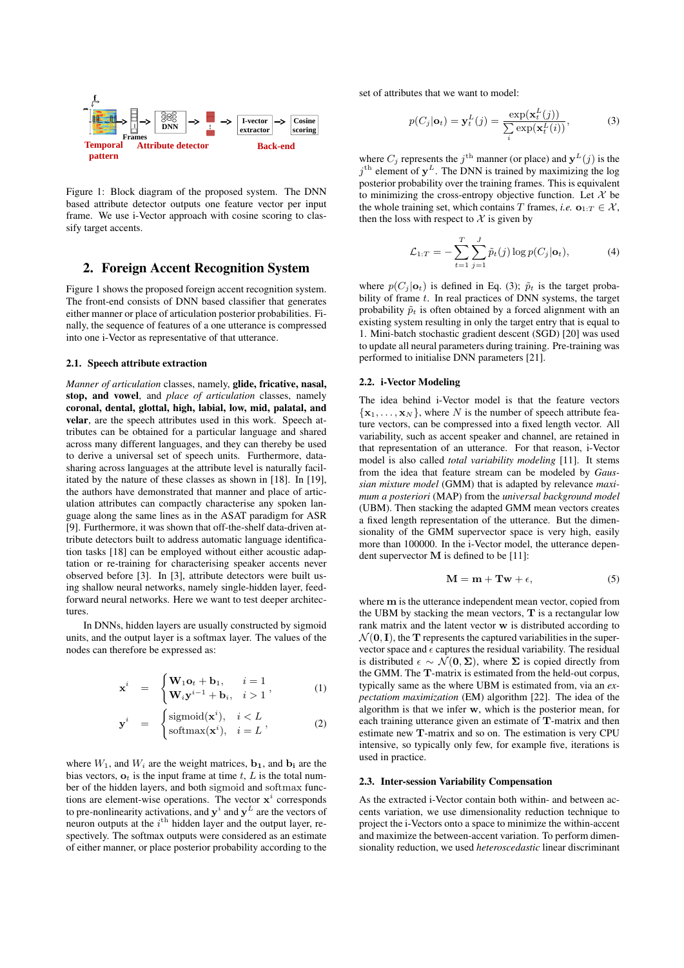

Figure 1: Block diagram of the proposed system. The DNN based attribute detector outputs one feature vector per input frame. We use i-Vector approach with cosine scoring to classify target accents.

### 2. Foreign Accent Recognition System

Figure 1 shows the proposed foreign accent recognition system. The front-end consists of DNN based classifier that generates either manner or place of articulation posterior probabilities. Finally, the sequence of features of a one utterance is compressed into one i-Vector as representative of that utterance.

#### 2.1. Speech attribute extraction

*Manner of articulation* classes, namely, glide, fricative, nasal, stop, and vowel, and *place of articulation* classes, namely coronal, dental, glottal, high, labial, low, mid, palatal, and velar, are the speech attributes used in this work. Speech attributes can be obtained for a particular language and shared across many different languages, and they can thereby be used to derive a universal set of speech units. Furthermore, datasharing across languages at the attribute level is naturally facilitated by the nature of these classes as shown in [18]. In [19], the authors have demonstrated that manner and place of articulation attributes can compactly characterise any spoken language along the same lines as in the ASAT paradigm for ASR [9]. Furthermore, it was shown that off-the-shelf data-driven attribute detectors built to address automatic language identification tasks [18] can be employed without either acoustic adaptation or re-training for characterising speaker accents never observed before [3]. In [3], attribute detectors were built using shallow neural networks, namely single-hidden layer, feedforward neural networks. Here we want to test deeper architectures.

In DNNs, hidden layers are usually constructed by sigmoid units, and the output layer is a softmax layer. The values of the nodes can therefore be expressed as:

$$
\mathbf{x}^{i} = \begin{cases} \mathbf{W}_{1}\mathbf{o}_{t} + \mathbf{b}_{1}, & i = 1 \\ \mathbf{W}_{i}\mathbf{y}^{i-1} + \mathbf{b}_{i}, & i > 1 \end{cases}
$$
 (1)

$$
\mathbf{y}^{i} = \begin{cases} \text{sigmoid}(\mathbf{x}^{i}), & i < L \\ \text{softmax}(\mathbf{x}^{i}), & i = L \end{cases},
$$
 (2)

where  $W_1$ , and  $W_i$  are the weight matrices,  $\mathbf{b}_1$ , and  $\mathbf{b}_i$  are the bias vectors,  $\mathbf{o}_t$  is the input frame at time t, L is the total number of the hidden layers, and both sigmoid and softmax functions are element-wise operations. The vector  $x^i$  corresponds to pre-nonlinearity activations, and  $y^i$  and  $y^L$  are the vectors of neuron outputs at the  $i<sup>th</sup>$  hidden layer and the output layer, respectively. The softmax outputs were considered as an estimate of either manner, or place posterior probability according to the set of attributes that we want to model:

$$
p(C_j|\mathbf{o}_t) = \mathbf{y}_t^L(j) = \frac{\exp(\mathbf{x}_t^L(j))}{\sum_i \exp(\mathbf{x}_t^L(i))},
$$
(3)

where  $C_j$  represents the  $j^{\text{th}}$  manner (or place) and  $\mathbf{y}^L(j)$  is the  $j<sup>th</sup>$  element of  $y<sup>L</sup>$ . The DNN is trained by maximizing the log posterior probability over the training frames. This is equivalent to minimizing the cross-entropy objective function. Let  $X$  be the whole training set, which contains T frames, *i.e.*  $\mathbf{o}_{1:T} \in \mathcal{X}$ , then the loss with respect to  $X$  is given by

$$
\mathcal{L}_{1:T} = -\sum_{t=1}^{T} \sum_{j=1}^{J} \tilde{p}_t(j) \log p(C_j | \mathbf{o}_t), \tag{4}
$$

where  $p(C_i | \mathbf{o}_t)$  is defined in Eq. (3);  $\tilde{p}_t$  is the target probability of frame  $t$ . In real practices of DNN systems, the target probability  $\tilde{p}_t$  is often obtained by a forced alignment with an existing system resulting in only the target entry that is equal to 1. Mini-batch stochastic gradient descent (SGD) [20] was used to update all neural parameters during training. Pre-training was performed to initialise DNN parameters [21].

### 2.2. i-Vector Modeling

The idea behind i-Vector model is that the feature vectors  ${x_1, \ldots, x_N}$ , where N is the number of speech attribute feature vectors, can be compressed into a fixed length vector. All variability, such as accent speaker and channel, are retained in that representation of an utterance. For that reason, i-Vector model is also called *total variability modeling* [11]. It stems from the idea that feature stream can be modeled by *Gaussian mixture model* (GMM) that is adapted by relevance *maximum a posteriori* (MAP) from the *universal background model* (UBM). Then stacking the adapted GMM mean vectors creates a fixed length representation of the utterance. But the dimensionality of the GMM supervector space is very high, easily more than 100000. In the i-Vector model, the utterance dependent supervector M is defined to be [11]:

$$
\mathbf{M} = \mathbf{m} + \mathbf{Tw} + \epsilon,\tag{5}
$$

where m is the utterance independent mean vector, copied from the UBM by stacking the mean vectors,  $T$  is a rectangular low rank matrix and the latent vector w is distributed according to  $\mathcal{N}(\mathbf{0}, \mathbf{I})$ , the T represents the captured variabilities in the supervector space and  $\epsilon$  captures the residual variability. The residual is distributed  $\epsilon \sim \mathcal{N}(0, \Sigma)$ , where  $\Sigma$  is copied directly from the GMM. The T-matrix is estimated from the held-out corpus, typically same as the where UBM is estimated from, via an *expectatiom maximization* (EM) algorithm [22]. The idea of the algorithm is that we infer w, which is the posterior mean, for each training utterance given an estimate of T-matrix and then estimate new T-matrix and so on. The estimation is very CPU intensive, so typically only few, for example five, iterations is used in practice.

#### 2.3. Inter-session Variability Compensation

As the extracted i-Vector contain both within- and between accents variation, we use dimensionality reduction technique to project the i-Vectors onto a space to minimize the within-accent and maximize the between-accent variation. To perform dimensionality reduction, we used *heteroscedastic* linear discriminant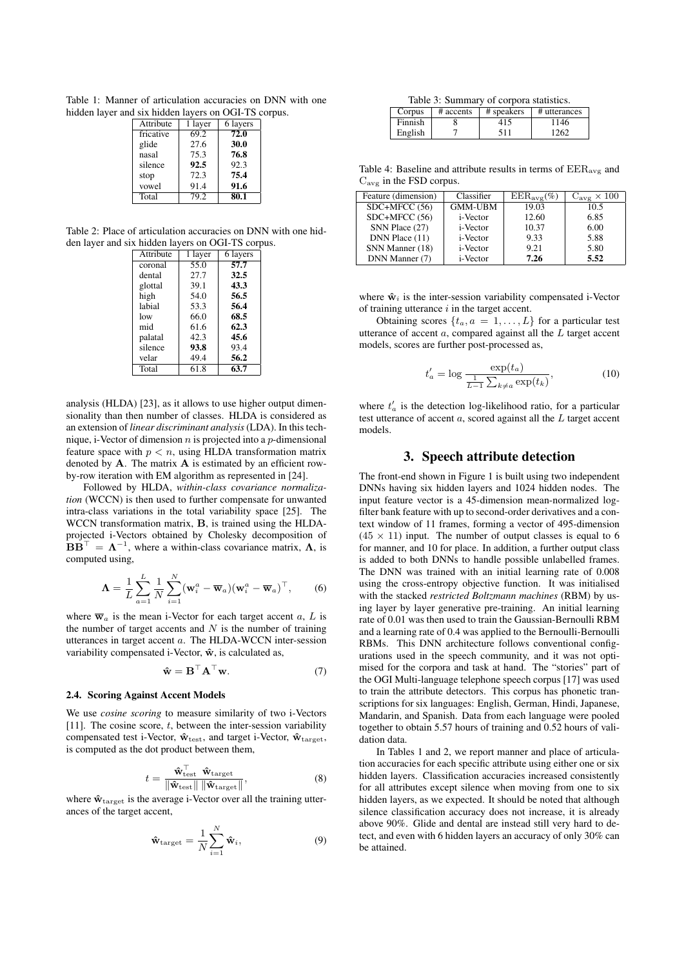Table 1: Manner of articulation accuracies on DNN with one hidden layer and six hidden layers on OGI-TS corpus.

| Attribute | 1 layer | 6 layers |
|-----------|---------|----------|
| fricative | 69.2    | 72.0     |
| glide     | 27.6    | 30.0     |
| nasal     | 75.3    | 76.8     |
| silence   | 92.5    | 92.3     |
| stop      | 72.3    | 75.4     |
| vowel     | 91.4    | 91.6     |
| Total     | 79.2    | 80.1     |
|           |         |          |

Table 2: Place of articulation accuracies on DNN with one hidden layer and six hidden layers on OGI-TS corpus.

| 1 layer | 6 layers |  |  |
|---------|----------|--|--|
| 55.0    | 57.7     |  |  |
| 27.7    | 32.5     |  |  |
| 39.1    | 43.3     |  |  |
| 54.0    | 56.5     |  |  |
| 53.3    | 56.4     |  |  |
| 66.0    | 68.5     |  |  |
| 61.6    | 62.3     |  |  |
| 42.3    | 45.6     |  |  |
| 93.8    | 93.4     |  |  |
| 49.4    | 56.2     |  |  |
| 61.8    | 63.7     |  |  |
|         |          |  |  |

analysis (HLDA) [23], as it allows to use higher output dimensionality than then number of classes. HLDA is considered as an extension of *linear discriminant analysis* (LDA). In this technique, i-Vector of dimension  $n$  is projected into a  $p$ -dimensional feature space with  $p < n$ , using HLDA transformation matrix denoted by  $A$ . The matrix  $A$  is estimated by an efficient rowby-row iteration with EM algorithm as represented in [24].

Followed by HLDA, *within-class covariance normalization* (WCCN) is then used to further compensate for unwanted intra-class variations in the total variability space [25]. The WCCN transformation matrix, B, is trained using the HLDAprojected i-Vectors obtained by Cholesky decomposition of  $BB^{\top} = \Lambda^{-1}$ , where a within-class covariance matrix,  $\Lambda$ , is computed using,

$$
\mathbf{\Lambda} = \frac{1}{L} \sum_{a=1}^{L} \frac{1}{N} \sum_{i=1}^{N} (\mathbf{w}_i^a - \overline{\mathbf{w}}_a) (\mathbf{w}_i^a - \overline{\mathbf{w}}_a)^{\top}, \qquad (6)
$$

where  $\overline{w}_a$  is the mean i-Vector for each target accent a, L is the number of target accents and  $N$  is the number of training utterances in target accent a. The HLDA-WCCN inter-session variability compensated i-Vector,  $\hat{\mathbf{w}}$ , is calculated as,

$$
\hat{\mathbf{w}} = \mathbf{B}^{\top} \mathbf{A}^{\top} \mathbf{w}.
$$
 (7)

#### 2.4. Scoring Against Accent Models

We use *cosine scoring* to measure similarity of two i-Vectors [11]. The cosine score,  $t$ , between the inter-session variability compensated test i-Vector,  $\mathbf{\hat{w}}_{\text{test}}$ , and target i-Vector,  $\mathbf{\hat{w}}_{\text{target}}$ , is computed as the dot product between them,

$$
t = \frac{\hat{\mathbf{w}}_{\text{test}}^{\top} \quad \hat{\mathbf{w}}_{\text{target}}}{\|\hat{\mathbf{w}}_{\text{test}}\| \quad \|\hat{\mathbf{w}}_{\text{target}}\|},\tag{8}
$$

where  $\hat{\mathbf{w}}_{\text{target}}$  is the average i-Vector over all the training utterances of the target accent,

$$
\hat{\mathbf{w}}_{\text{target}} = \frac{1}{N} \sum_{i=1}^{N} \hat{\mathbf{w}}_i, \tag{9}
$$

| Corpus  | # accents | # speakers | # utterances |
|---------|-----------|------------|--------------|
| Finnish |           | 415        | ' 146        |
| English |           | 511        | 1262         |

Table 4: Baseline and attribute results in terms of  $EER_{avg}$  and Cavg in the FSD corpus.

| Feature (dimension) | Classifier       | $EER_{avg}(\%)$ | $C_{\text{avg}} \times 100$ |
|---------------------|------------------|-----------------|-----------------------------|
| $SDC+MFCC(56)$      | <b>GMM-UBM</b>   | 19.03           | 10.5                        |
| SDC+MFCC (56)       | i-Vector         | 12.60           | 6.85                        |
| SNN Place (27)      | <i>i</i> -Vector | 10.37           | 6.00                        |
| DNN Place (11)      | i-Vector         | 9.33            | 5.88                        |
| SNN Manner (18)     | i-Vector         | 9.21            | 5.80                        |
| DNN Manner (7)      | i-Vector         | 7.26            | 5.52                        |

where  $\hat{\mathbf{w}}_i$  is the inter-session variability compensated i-Vector of training utterance  $i$  in the target accent.

Obtaining scores  $\{t_a, a = 1, \ldots, L\}$  for a particular test utterance of accent  $a$ , compared against all the  $\overline{L}$  target accent models, scores are further post-processed as,

$$
t'_a = \log \frac{\exp(t_a)}{\frac{1}{L-1} \sum_{k \neq a} \exp(t_k)},\tag{10}
$$

where  $t'_a$  is the detection log-likelihood ratio, for a particular test utterance of accent a, scored against all the L target accent models.

## 3. Speech attribute detection

The front-end shown in Figure 1 is built using two independent DNNs having six hidden layers and 1024 hidden nodes. The input feature vector is a 45-dimension mean-normalized logfilter bank feature with up to second-order derivatives and a context window of 11 frames, forming a vector of 495-dimension  $(45 \times 11)$  input. The number of output classes is equal to 6 for manner, and 10 for place. In addition, a further output class is added to both DNNs to handle possible unlabelled frames. The DNN was trained with an initial learning rate of 0.008 using the cross-entropy objective function. It was initialised with the stacked *restricted Boltzmann machines* (RBM) by using layer by layer generative pre-training. An initial learning rate of 0.01 was then used to train the Gaussian-Bernoulli RBM and a learning rate of 0.4 was applied to the Bernoulli-Bernoulli RBMs. This DNN architecture follows conventional configurations used in the speech community, and it was not optimised for the corpora and task at hand. The "stories" part of the OGI Multi-language telephone speech corpus [17] was used to train the attribute detectors. This corpus has phonetic transcriptions for six languages: English, German, Hindi, Japanese, Mandarin, and Spanish. Data from each language were pooled together to obtain 5.57 hours of training and 0.52 hours of validation data.

In Tables 1 and 2, we report manner and place of articulation accuracies for each specific attribute using either one or six hidden layers. Classification accuracies increased consistently for all attributes except silence when moving from one to six hidden layers, as we expected. It should be noted that although silence classification accuracy does not increase, it is already above 90%. Glide and dental are instead still very hard to detect, and even with 6 hidden layers an accuracy of only 30% can be attained.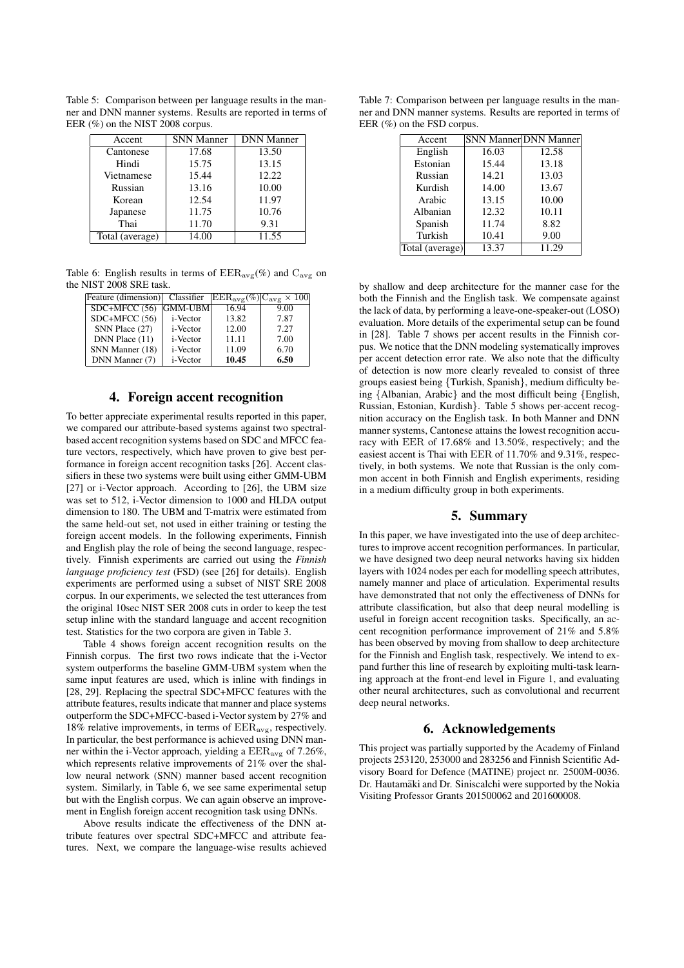Table 5: Comparison between per language results in the manner and DNN manner systems. Results are reported in terms of EER (%) on the NIST 2008 corpus.

| Accent          | <b>SNN Manner</b> | <b>DNN</b> Manner |
|-----------------|-------------------|-------------------|
| Cantonese       | 17.68             | 13.50             |
| Hindi           | 15.75             | 13.15             |
| Vietnamese      | 15.44             | 12.22             |
| Russian         | 13.16             | 10.00             |
| Korean          | 12.54             | 11.97             |
| Japanese        | 11.75             | 10.76             |
| Thai            | 11.70             | 9.31              |
| Total (average) | 14.00             | 11.55             |

Table 6: English results in terms of  $EER_{avg}(\%)$  and  $C_{avg}$  on the NIST 2008 SRE task.

| Feature (dimension) Classifier |          | $ \text{EER}_{\text{avg}}(\%) C_{\text{avg}} \times 100 $ |      |
|--------------------------------|----------|-----------------------------------------------------------|------|
| $SDC+MFCC(56)$                 | GMM-UBM  | 16.94                                                     | 9.00 |
| $SDC+MFCC(56)$                 | i-Vector | 13.82                                                     | 7.87 |
| SNN Place (27)                 | i-Vector | 12.00                                                     | 7.27 |
| DNN Place (11)                 | i-Vector | 11.11                                                     | 7.00 |
| SNN Manner (18)                | i-Vector | 11.09                                                     | 6.70 |
| DNN Manner (7)                 | i-Vector | 10.45                                                     | 6.50 |

# 4. Foreign accent recognition

To better appreciate experimental results reported in this paper, we compared our attribute-based systems against two spectralbased accent recognition systems based on SDC and MFCC feature vectors, respectively, which have proven to give best performance in foreign accent recognition tasks [26]. Accent classifiers in these two systems were built using either GMM-UBM [27] or i-Vector approach. According to [26], the UBM size was set to 512, i-Vector dimension to 1000 and HLDA output dimension to 180. The UBM and T-matrix were estimated from the same held-out set, not used in either training or testing the foreign accent models. In the following experiments, Finnish and English play the role of being the second language, respectively. Finnish experiments are carried out using the *Finnish language proficiency test* (FSD) (see [26] for details). English experiments are performed using a subset of NIST SRE 2008 corpus. In our experiments, we selected the test utterances from the original 10sec NIST SER 2008 cuts in order to keep the test setup inline with the standard language and accent recognition test. Statistics for the two corpora are given in Table 3.

Table 4 shows foreign accent recognition results on the Finnish corpus. The first two rows indicate that the i-Vector system outperforms the baseline GMM-UBM system when the same input features are used, which is inline with findings in [28, 29]. Replacing the spectral SDC+MFCC features with the attribute features, results indicate that manner and place systems outperform the SDC+MFCC-based i-Vector system by 27% and 18% relative improvements, in terms of  $EER_{\text{avg}}$ , respectively. In particular, the best performance is achieved using DNN manner within the i-Vector approach, yielding a  $EER_{\text{avg}}$  of 7.26%, which represents relative improvements of 21% over the shallow neural network (SNN) manner based accent recognition system. Similarly, in Table 6, we see same experimental setup but with the English corpus. We can again observe an improvement in English foreign accent recognition task using DNNs.

Above results indicate the effectiveness of the DNN attribute features over spectral SDC+MFCC and attribute features. Next, we compare the language-wise results achieved

Table 7: Comparison between per language results in the manner and DNN manner systems. Results are reported in terms of EER (%) on the FSD corpus.

| Accent          |       | <b>SNN Manner DNN Manner</b> |
|-----------------|-------|------------------------------|
| English         | 16.03 | 12.58                        |
| Estonian        | 15.44 | 13.18                        |
| Russian         | 14.21 | 13.03                        |
| Kurdish         | 14.00 | 13.67                        |
| Arabic          | 13.15 | 10.00                        |
| Albanian        | 12.32 | 10.11                        |
| Spanish         | 11.74 | 8.82                         |
| Turkish         | 10.41 | 9.00                         |
| Total (average) | 13.37 | 11.29                        |

by shallow and deep architecture for the manner case for the both the Finnish and the English task. We compensate against the lack of data, by performing a leave-one-speaker-out (LOSO) evaluation. More details of the experimental setup can be found in [28]. Table 7 shows per accent results in the Finnish corpus. We notice that the DNN modeling systematically improves per accent detection error rate. We also note that the difficulty of detection is now more clearly revealed to consist of three groups easiest being {Turkish, Spanish}, medium difficulty being {Albanian, Arabic} and the most difficult being {English, Russian, Estonian, Kurdish}. Table 5 shows per-accent recognition accuracy on the English task. In both Manner and DNN manner systems, Cantonese attains the lowest recognition accuracy with EER of 17.68% and 13.50%, respectively; and the easiest accent is Thai with EER of 11.70% and 9.31%, respectively, in both systems. We note that Russian is the only common accent in both Finnish and English experiments, residing in a medium difficulty group in both experiments.

# 5. Summary

In this paper, we have investigated into the use of deep architectures to improve accent recognition performances. In particular, we have designed two deep neural networks having six hidden layers with 1024 nodes per each for modelling speech attributes, namely manner and place of articulation. Experimental results have demonstrated that not only the effectiveness of DNNs for attribute classification, but also that deep neural modelling is useful in foreign accent recognition tasks. Specifically, an accent recognition performance improvement of 21% and 5.8% has been observed by moving from shallow to deep architecture for the Finnish and English task, respectively. We intend to expand further this line of research by exploiting multi-task learning approach at the front-end level in Figure 1, and evaluating other neural architectures, such as convolutional and recurrent deep neural networks.

### 6. Acknowledgements

This project was partially supported by the Academy of Finland projects 253120, 253000 and 283256 and Finnish Scientific Advisory Board for Defence (MATINE) project nr. 2500M-0036. Dr. Hautamäki and Dr. Siniscalchi were supported by the Nokia Visiting Professor Grants 201500062 and 201600008.